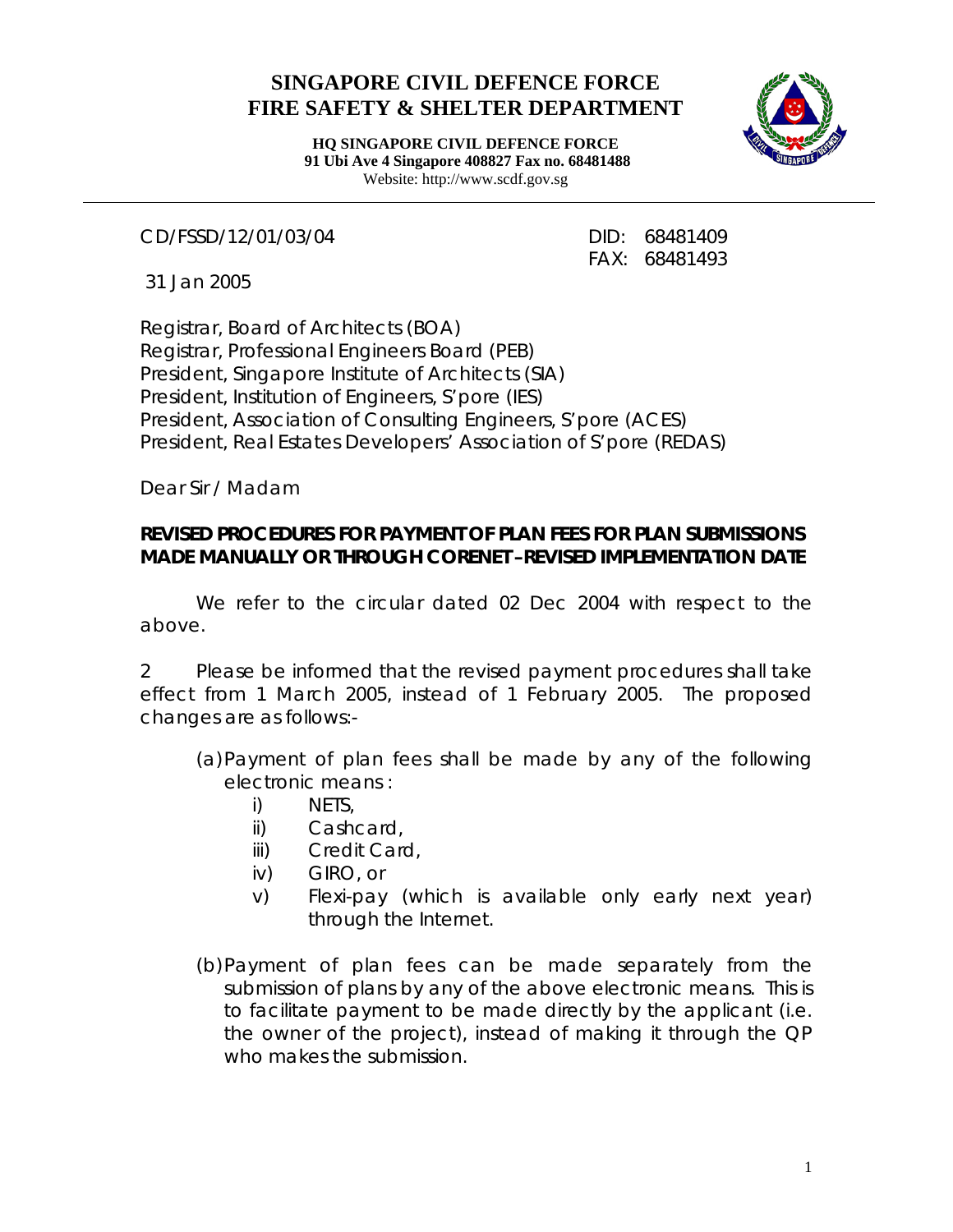## **SINGAPORE CIVIL DEFENCE FORCE FIRE SAFETY & SHELTER DEPARTMENT**



**HQ SINGAPORE CIVIL DEFENCE FORCE 91 Ubi Ave 4 Singapore 408827 Fax no. 68481488** Website: http://www.scdf.gov.sg

CD/FSSD/12/01/03/04 DID: 68481409

FAX: 68481493

31 Jan 2005

Registrar, Board of Architects (BOA) Registrar, Professional Engineers Board (PEB) President, Singapore Institute of Architects (SIA) President, Institution of Engineers, S'pore (IES) President, Association of Consulting Engineers, S'pore (ACES) President, Real Estates Developers' Association of S'pore (REDAS)

Dear Sir / Madam

## **REVISED PROCEDURES FOR PAYMENT OF PLAN FEES FOR PLAN SUBMISSIONS MADE MANUALLY OR THROUGH CORENET –REVISED IMPLEMENTATION DATE**

We refer to the circular dated 02 Dec 2004 with respect to the above.

2 Please be informed that the revised payment procedures shall take effect from 1 March 2005, instead of 1 February 2005. The proposed changes are as follows:-

- (a)Payment of plan fees shall be made by any of the following electronic means :
	- i) NETS,
	- ii) Cashcard,
	- iii) Credit Card,
	- iv) GIRO, or
	- v) Flexi-pay (which is available only early next year) through the Internet.
- (b)Payment of plan fees can be made separately from the submission of plans by any of the above electronic means. This is to facilitate payment to be made directly by the applicant (i.e. the owner of the project), instead of making it through the QP who makes the submission.